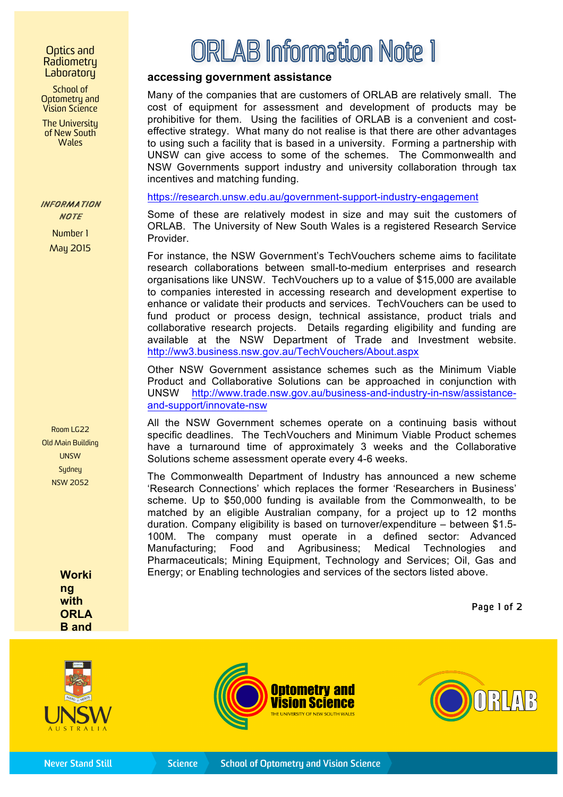## Optics and Radiometry **Laboratory**

School of Optometry and Vision Science

The University of New South **Wales** 

## *INFORMATION INFORMATION NOTE*

Number 1 May 2015

Room LG22 Old Main Building UNSW **Sydney** NSW 2052

> **Worki ng with ORLA B and**

## ORLAB Information Note 1

## **accessing government assistance**

Many of the companies that are customers of ORLAB are relatively small. The cost of equipment for assessment and development of products may be prohibitive for them. Using the facilities of ORLAB is a convenient and costeffective strategy. What many do not realise is that there are other advantages to using such a facility that is based in a university. Forming a partnership with UNSW can give access to some of the schemes. The Commonwealth and NSW Governments support industry and university collaboration through tax incentives and matching funding.

https://research.unsw.edu.au/government-support-industry-engagement

Some of these are relatively modest in size and may suit the customers of ORLAB. The University of New South Wales is a registered Research Service Provider.

For instance, the NSW Government's TechVouchers scheme aims to facilitate research collaborations between small-to-medium enterprises and research organisations like UNSW. TechVouchers up to a value of \$15,000 are available to companies interested in accessing research and development expertise to enhance or validate their products and services. TechVouchers can be used to fund product or process design, technical assistance, product trials and collaborative research projects. Details regarding eligibility and funding are available at the NSW Department of Trade and Investment website. http://ww3.business.nsw.gov.au/TechVouchers/About.aspx

Other NSW Government assistance schemes such as the Minimum Viable Product and Collaborative Solutions can be approached in conjunction with UNSW http://www.trade.nsw.gov.au/business-and-industry-in-nsw/assistanceand-support/innovate-nsw

All the NSW Government schemes operate on a continuing basis without specific deadlines. The TechVouchers and Minimum Viable Product schemes have a turnaround time of approximately 3 weeks and the Collaborative Solutions scheme assessment operate every 4-6 weeks.

The Commonwealth Department of Industry has announced a new scheme 'Research Connections' which replaces the former 'Researchers in Business' scheme. Up to \$50,000 funding is available from the Commonwealth, to be matched by an eligible Australian company, for a project up to 12 months duration. Company eligibility is based on turnover/expenditure – between \$1.5- 100M. The company must operate in a defined sector: Advanced Manufacturing; Food and Agribusiness; Medical Technologies and Pharmaceuticals; Mining Equipment, Technology and Services; Oil, Gas and Energy; or Enabling technologies and services of the sectors listed above.

Page 1 of 2